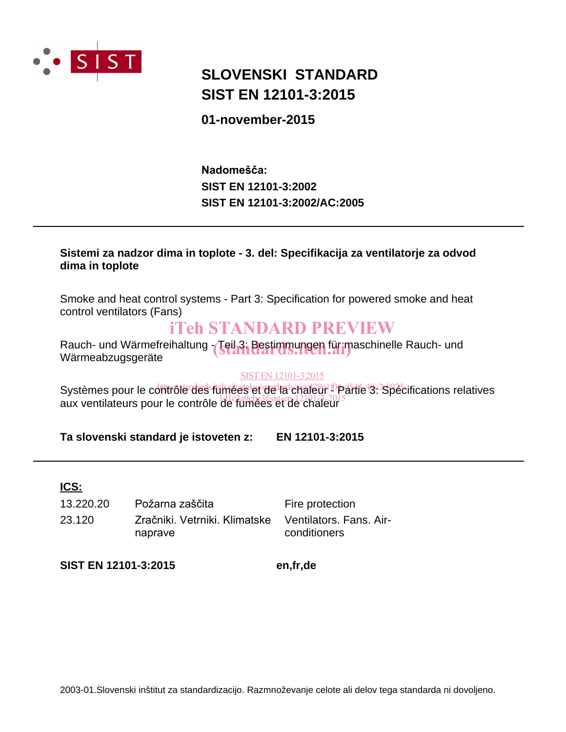

# **SIST EN 12101-3:2015 SLOVENSKI STANDARD**

## **01-november-2015**

**SIST EN 12101-3:2002/AC:2005 SIST EN 12101-3:2002** Nadomešča:

### **Sistemi za nadzor dima in toplote - 3. del: Specifikacija za ventilatorje za odvod dima in toplote**

Smoke and heat control systems - Part 3: Specification for powered smoke and heat control ventilators (Fans)

# iTeh STANDARD PREVIEW

Rauch- und Wärmefreihaltung - Tei<mark>l 3: Bestimmungen für m</mark>aschinelle Rauch- und<br>Wärmeabzugsgeräte Wärmeabzugsgeräte

#### SIST EN 12101-3:2015

Systèmes pour le contrôle des fumées let de la chaleur De faite 3: Spécifications relatives Systems pour le contrôle de fumées et de chaleur s'any sur le contrôle de fumées et de chaleur

**Ta slovenski standard je istoveten z: EN 12101-3:2015**

## **ICS:**

23.120 Zračniki, Vetrniki, Klimatske naprave 13.220.20 Požarna zaščita<br>
Fire protection

Ventilators. Fans. Airconditioners

**SIST EN 12101-3:2015 en,fr,de**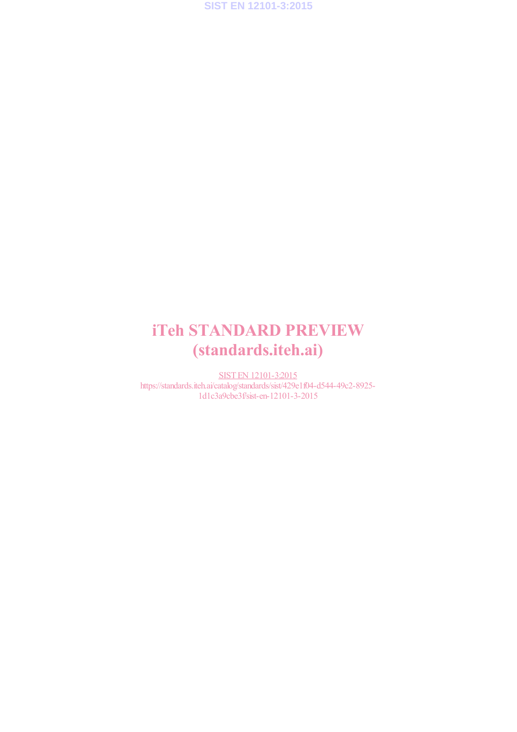

# iTeh STANDARD PREVIEW (standards.iteh.ai)

SIST EN 12101-3:2015 https://standards.iteh.ai/catalog/standards/sist/429e1f04-d544-49c2-8925- 1d1c3a9cbe3f/sist-en-12101-3-2015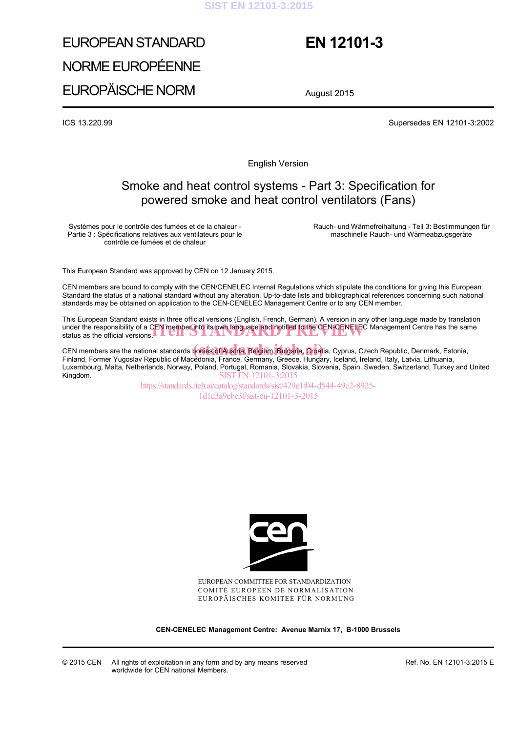#### **SIST EN 12101-3:2015**

# EUROPEAN STANDARD NORME EUROPÉENNE EUROPÄISCHE NORM

# **EN 12101-3**

August 2015

ICS 13.220.99 Supersedes EN 12101-3:2002

English Version

## Smoke and heat control systems - Part 3: Specification for powered smoke and heat control ventilators (Fans)

Systèmes pour le contrôle des fumées et de la chaleur - Partie 3 : Spécifications relatives aux ventilateurs pour le contrôle de fumées et de chaleur

 Rauch- und Wärmefreihaltung - Teil 3: Bestimmungen für maschinelle Rauch- und Wärmeabzugsgeräte

This European Standard was approved by CEN on 12 January 2015.

CEN members are bound to comply with the CEN/CENELEC Internal Regulations which stipulate the conditions for giving this European Standard the status of a national standard without any alteration. Up-to-date lists and bibliographical references concerning such national standards may be obtained on application to the CEN-CENELEC Management Centre or to any CEN member.

This European Standard exists in three official versions (English, French, German). A version in any other language made by translation under the responsibility of a CEN member into its own language and notified to the CEN-CENELEC Management Centre has the same under the responsibility of a CEN member into its own language and notified to the CEN-CENELEC M<br>status as the official versions.

CEN members are the national standards bodies of Austria, Belgium, Bulgaria, Croatia, Cyprus, Czech Republic, Denmark, Estonia,<br>Finland, Fermer Yugoslav Republic of Macodonia, France, Germany, Greece, Hungary, Iceland, Ita Finland, Former Yugoslav Republic of Macedonia, France, Germany, Greece, Hungary, Iceland, Ireland, Italy, Latvia, Lithuania, Luxembourg, Malta, Netherlands, Norway, Poland, Portugal, Romania, Slovakia, Slovenia, Spain, Sweden, Switzerland, Turkey and United Kingdom. SIST EN 12101-3:2015

https://standards.iteh.ai/catalog/standards/sist/429e1f04-d544-49c2-8925- 1d1c3a9cbe3f/sist-en-12101-3-2015



EUROPEAN COMMITTEE FOR STANDARDIZATION COMITÉ EUROPÉEN DE NORMALISATION EUROPÄISCHES KOMITEE FÜR NORMUNG

**CEN-CENELEC Management Centre: Avenue Marnix 17, B-1000 Brussels** 

Ref. No. EN 12101-3:2015 E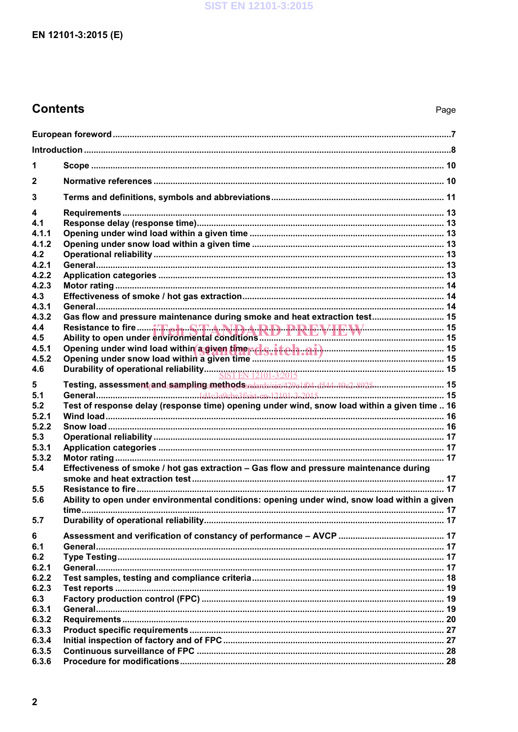# EN 12101-3:2015 (E)

# **Contents**

| 1            |                                                                                                                          |  |  |
|--------------|--------------------------------------------------------------------------------------------------------------------------|--|--|
| $\mathbf{2}$ |                                                                                                                          |  |  |
| 3            |                                                                                                                          |  |  |
| 4            |                                                                                                                          |  |  |
| 4.1          |                                                                                                                          |  |  |
| 4.1.1        |                                                                                                                          |  |  |
| 4.1.2        |                                                                                                                          |  |  |
| 4.2          |                                                                                                                          |  |  |
| 4.2.1        |                                                                                                                          |  |  |
| 4.2.2        |                                                                                                                          |  |  |
| 4.2.3        |                                                                                                                          |  |  |
| 4.3          |                                                                                                                          |  |  |
| 4.3.1        |                                                                                                                          |  |  |
| 4.3.2        | Gas flow and pressure maintenance during smoke and heat extraction test 15                                               |  |  |
| 4.4          |                                                                                                                          |  |  |
| 4.5          |                                                                                                                          |  |  |
| 4.5.1        | Opening under wind load within a given time rols. itch.ai) Continued and the Upening under snow load within a given time |  |  |
| 4.5.2        |                                                                                                                          |  |  |
| 4.6          |                                                                                                                          |  |  |
| 5            | Testing, assessment <sub>r</sub> and sampling methods ndards/sist/429e1.04.d544-49e2-8925 15                             |  |  |
| 5.1          |                                                                                                                          |  |  |
| 5.2          | Test of response delay (response time) opening under wind, snow load within a given time  16                             |  |  |
| 5.2.1        |                                                                                                                          |  |  |
| 5.2.2        |                                                                                                                          |  |  |
| 5.3          |                                                                                                                          |  |  |
| 5.3.1        |                                                                                                                          |  |  |
| 5.3.2        |                                                                                                                          |  |  |
| 5.4          | Effectiveness of smoke / hot gas extraction - Gas flow and pressure maintenance during                                   |  |  |
|              |                                                                                                                          |  |  |
| 5.5          |                                                                                                                          |  |  |
| 5.6          | Ability to open under environmental conditions: opening under wind, snow load within a given                             |  |  |
| 5.7          |                                                                                                                          |  |  |
| 6            |                                                                                                                          |  |  |
| 6.1          |                                                                                                                          |  |  |
| 6.2          |                                                                                                                          |  |  |
| 6.2.1        |                                                                                                                          |  |  |
| 6.2.2        |                                                                                                                          |  |  |
| 6.2.3        |                                                                                                                          |  |  |
| 6.3          |                                                                                                                          |  |  |
| 6.3.1        |                                                                                                                          |  |  |
| 6.3.2        |                                                                                                                          |  |  |
| 6.3.3        |                                                                                                                          |  |  |
| 6.3.4        |                                                                                                                          |  |  |
| 6.3.5        |                                                                                                                          |  |  |
| 6.3.6        |                                                                                                                          |  |  |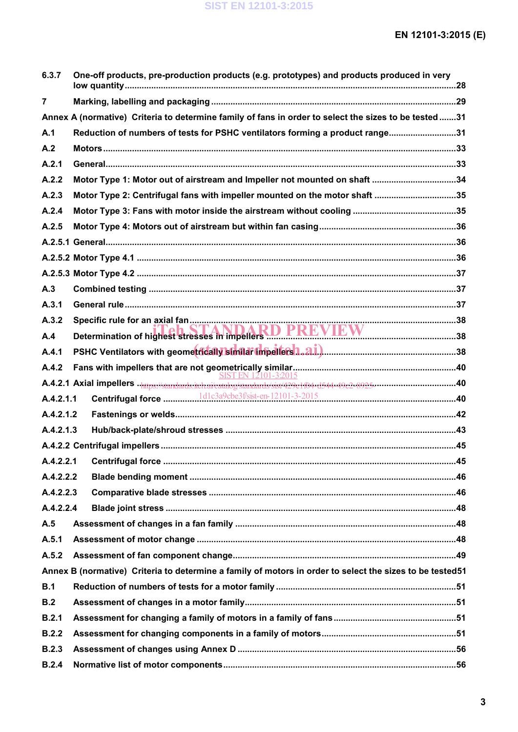| 6.3.7          | One-off products, pre-production products (e.g. prototypes) and products produced in very                 |  |
|----------------|-----------------------------------------------------------------------------------------------------------|--|
| $\overline{7}$ |                                                                                                           |  |
|                | Annex A (normative) Criteria to determine family of fans in order to select the sizes to be tested31      |  |
| A.1            | Reduction of numbers of tests for PSHC ventilators forming a product range31                              |  |
| A.2            |                                                                                                           |  |
| A.2.1          |                                                                                                           |  |
| A.2.2          | Motor Type 1: Motor out of airstream and Impeller not mounted on shaft 34                                 |  |
| A.2.3          | Motor Type 2: Centrifugal fans with impeller mounted on the motor shaft 35                                |  |
| A.2.4          |                                                                                                           |  |
| A.2.5          |                                                                                                           |  |
|                |                                                                                                           |  |
|                |                                                                                                           |  |
|                |                                                                                                           |  |
| A.3            |                                                                                                           |  |
| A.3.1          |                                                                                                           |  |
| A.3.2          |                                                                                                           |  |
| A.4            | Determination of highest stresses in impellers D. PREVIEW                                                 |  |
| A.4.1          |                                                                                                           |  |
|                |                                                                                                           |  |
|                |                                                                                                           |  |
| A.4.2.1.1      |                                                                                                           |  |
| A.4.2.1.2      |                                                                                                           |  |
| A.4.2.1.3      |                                                                                                           |  |
|                |                                                                                                           |  |
|                |                                                                                                           |  |
| A.4.2.2.2      |                                                                                                           |  |
| A.4.2.2.3      |                                                                                                           |  |
| A.4.2.2.4      |                                                                                                           |  |
| A.5            |                                                                                                           |  |
| A.5.1          |                                                                                                           |  |
| A.5.2          |                                                                                                           |  |
|                | Annex B (normative) Criteria to determine a family of motors in order to select the sizes to be tested 51 |  |
| B.1            |                                                                                                           |  |
| B.2            |                                                                                                           |  |
| B.2.1          |                                                                                                           |  |
| B.2.2          |                                                                                                           |  |
| B.2.3          |                                                                                                           |  |
| B.2.4          |                                                                                                           |  |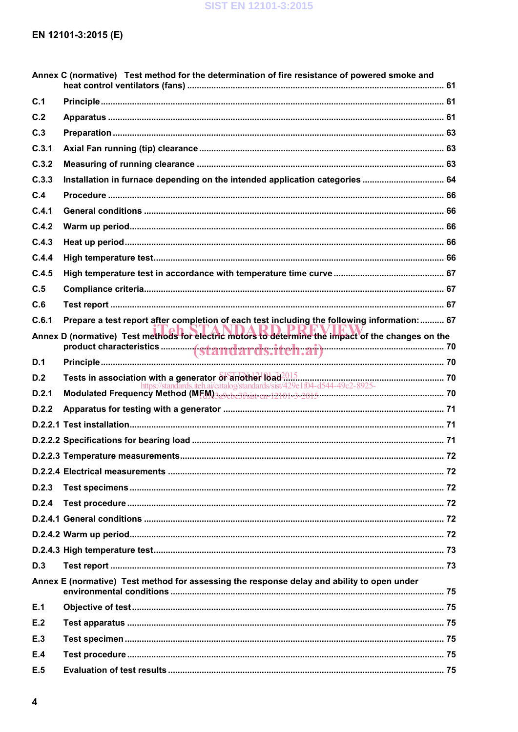### SIST EN 12101-3:2015

# EN 12101-3:2015 (E)

|       | Annex C (normative) Test method for the determination of fire resistance of powered smoke and      |  |
|-------|----------------------------------------------------------------------------------------------------|--|
| C.1   |                                                                                                    |  |
| C.2   |                                                                                                    |  |
| C.3   |                                                                                                    |  |
| C.3.1 |                                                                                                    |  |
| C.3.2 |                                                                                                    |  |
| C.3.3 | Installation in furnace depending on the intended application categories  64                       |  |
| C.4   |                                                                                                    |  |
| C.4.1 |                                                                                                    |  |
| C.4.2 |                                                                                                    |  |
| C.4.3 |                                                                                                    |  |
| C.4.4 |                                                                                                    |  |
| C.4.5 |                                                                                                    |  |
| C.5   |                                                                                                    |  |
| C.6   |                                                                                                    |  |
| C.6.1 | Prepare a test report after completion of each test including the following information: 67        |  |
|       | Annex D (normative) Test methods for electric motors to determine the impact of the changes on the |  |
| D.1   |                                                                                                    |  |
| D.2   |                                                                                                    |  |
| D.2.1 |                                                                                                    |  |
| D.2.2 |                                                                                                    |  |
|       |                                                                                                    |  |
|       |                                                                                                    |  |
|       |                                                                                                    |  |
|       |                                                                                                    |  |
| D.2.3 |                                                                                                    |  |
| D.2.4 |                                                                                                    |  |
|       |                                                                                                    |  |
|       |                                                                                                    |  |
|       |                                                                                                    |  |
| D.3   |                                                                                                    |  |
|       | Annex E (normative) Test method for assessing the response delay and ability to open under         |  |
| E.1   |                                                                                                    |  |
| E.2   |                                                                                                    |  |
| E.3   |                                                                                                    |  |
| E.4   |                                                                                                    |  |
| E.5   |                                                                                                    |  |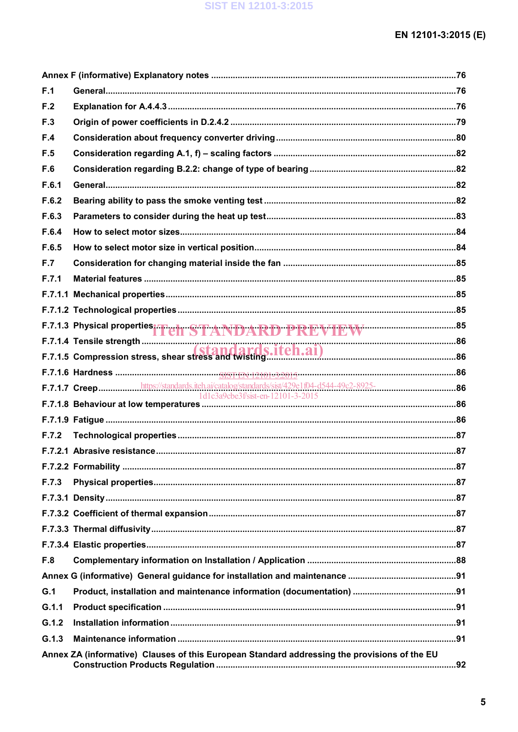| F.1   |                                                                                              |  |
|-------|----------------------------------------------------------------------------------------------|--|
| F.2   |                                                                                              |  |
| F.3   |                                                                                              |  |
| F.4   |                                                                                              |  |
| F.5   |                                                                                              |  |
| F.6   |                                                                                              |  |
| F.6.1 |                                                                                              |  |
| F.6.2 |                                                                                              |  |
| F.6.3 |                                                                                              |  |
| F.6.4 |                                                                                              |  |
| F.6.5 |                                                                                              |  |
| F.7   |                                                                                              |  |
| F.7.1 |                                                                                              |  |
|       |                                                                                              |  |
|       |                                                                                              |  |
|       | F.7.1.3 Physical properties <sup>1</sup> Teh STANDARD PREVIEW <sup>4</sup> 1999-1999-85      |  |
|       |                                                                                              |  |
|       |                                                                                              |  |
|       |                                                                                              |  |
|       |                                                                                              |  |
|       |                                                                                              |  |
|       |                                                                                              |  |
| F.7.2 |                                                                                              |  |
|       |                                                                                              |  |
|       |                                                                                              |  |
| F.7.3 |                                                                                              |  |
|       |                                                                                              |  |
|       |                                                                                              |  |
|       |                                                                                              |  |
|       |                                                                                              |  |
| F.8   |                                                                                              |  |
|       |                                                                                              |  |
| G.1   |                                                                                              |  |
| G.1.1 |                                                                                              |  |
| G.1.2 |                                                                                              |  |
| G.1.3 |                                                                                              |  |
|       | Annex ZA (informative) Clauses of this European Standard addressing the provisions of the EU |  |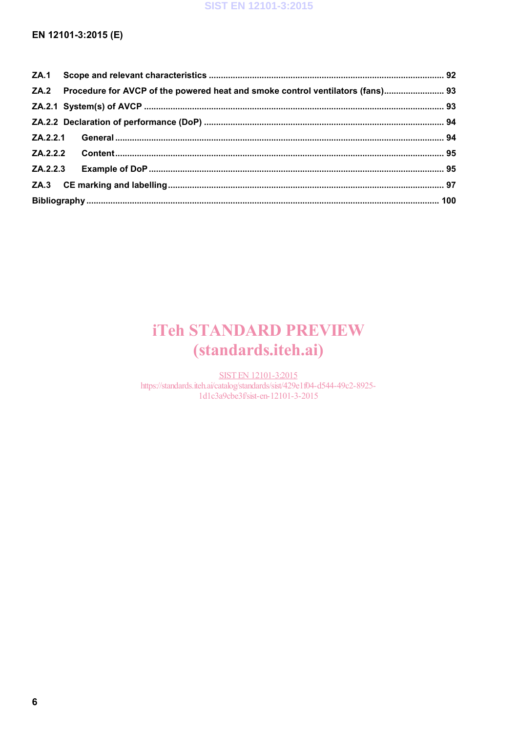## EN 12101-3:2015 (E)

|          |  | ZA.2 Procedure for AVCP of the powered heat and smoke control ventilators (fans) 93 |  |  |
|----------|--|-------------------------------------------------------------------------------------|--|--|
|          |  |                                                                                     |  |  |
|          |  |                                                                                     |  |  |
|          |  |                                                                                     |  |  |
| ZA.2.2.2 |  |                                                                                     |  |  |
|          |  |                                                                                     |  |  |
|          |  |                                                                                     |  |  |
|          |  |                                                                                     |  |  |

# **iTeh STANDARD PREVIEW** (standards.iteh.ai)

**SIST EN 12101-3:2015** https://standards.iteh.ai/catalog/standards/sist/429e1f04-d544-49c2-8925-1d1c3a9cbe3f/sist-en-12101-3-2015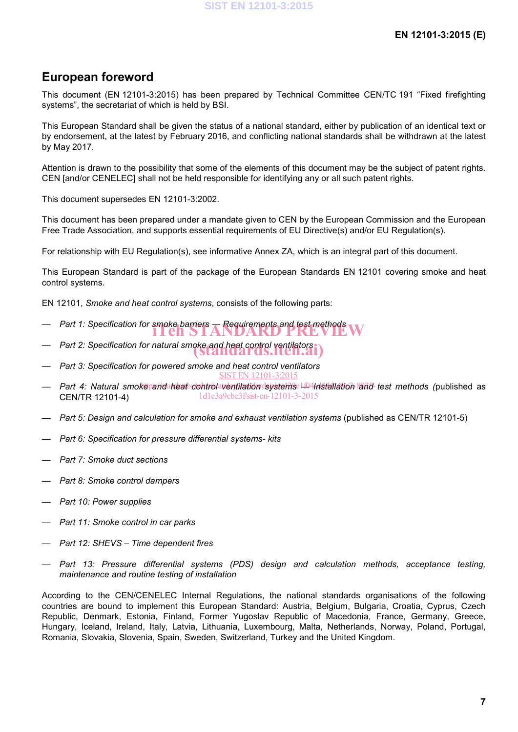# **European foreword**

This document (EN 12101-3:2015) has been prepared by Technical Committee CEN/TC 191 "Fixed firefighting systems", the secretariat of which is held by BSI.

This European Standard shall be given the status of a national standard, either by publication of an identical text or by endorsement, at the latest by February 2016, and conflicting national standards shall be withdrawn at the latest by May 2017.

Attention is drawn to the possibility that some of the elements of this document may be the subject of patent rights. CEN [and/or CENELEC] shall not be held responsible for identifying any or all such patent rights.

This document supersedes EN 12101-3:2002.

This document has been prepared under a mandate given to CEN by the European Commission and the European Free Trade Association, and supports essential requirements of EU Directive(s) and/or EU Regulation(s).

For relationship with EU Regulation(s), see informative Annex ZA, which is an integral part of this document.

This European Standard is part of the package of the European Standards EN 12101 covering smoke and heat control systems.

EN 12101, *Smoke and heat control systems*, consists of the following parts:

- *Part 1: Specification for smoke barriers* **A** Requirements and test methods **W**
- *Part 2: Specification for natural smoke and heat control ventilators* (standards.iteh.ai)
- *Part 3: Specification for powered smoke and heat control ventilators* SIST EN 12101-3:2015
- Part 4: Natural smokepandarheatscontrolaventilation systems Li04Installation and test methods (published as CEN/TR 12101-4) 1d1c3a9cbe3f/sist-en-12101-3-2015
- *Part 5: Design and calculation for smoke and exhaust ventilation systems* (published as CEN/TR 12101-5)
- *Part 6: Specification for pressure differential systems- kits*
- *Part 7: Smoke duct sections*
- *Part 8: Smoke control dampers*
- *Part 10: Power supplies*
- *Part 11: Smoke control in car parks*
- *Part 12: SHEVS – Time dependent fires*
- *Part 13: Pressure differential systems (PDS) design and calculation methods, acceptance testing, maintenance and routine testing of installation*

According to the CEN/CENELEC Internal Regulations, the national standards organisations of the following countries are bound to implement this European Standard: Austria, Belgium, Bulgaria, Croatia, Cyprus, Czech Republic, Denmark, Estonia, Finland, Former Yugoslav Republic of Macedonia, France, Germany, Greece, Hungary, Iceland, Ireland, Italy, Latvia, Lithuania, Luxembourg, Malta, Netherlands, Norway, Poland, Portugal, Romania, Slovakia, Slovenia, Spain, Sweden, Switzerland, Turkey and the United Kingdom.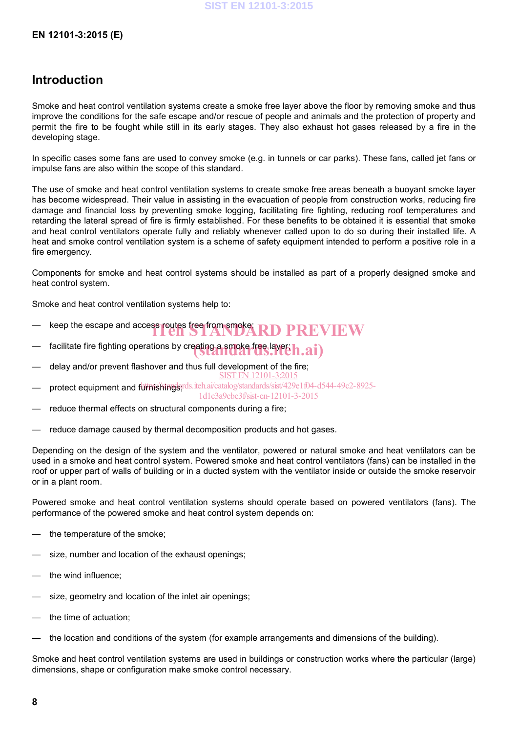## **Introduction**

Smoke and heat control ventilation systems create a smoke free layer above the floor by removing smoke and thus improve the conditions for the safe escape and/or rescue of people and animals and the protection of property and permit the fire to be fought while still in its early stages. They also exhaust hot gases released by a fire in the developing stage.

In specific cases some fans are used to convey smoke (e.g. in tunnels or car parks). These fans, called jet fans or impulse fans are also within the scope of this standard.

The use of smoke and heat control ventilation systems to create smoke free areas beneath a buoyant smoke layer has become widespread. Their value in assisting in the evacuation of people from construction works, reducing fire damage and financial loss by preventing smoke logging, facilitating fire fighting, reducing roof temperatures and retarding the lateral spread of fire is firmly established. For these benefits to be obtained it is essential that smoke and heat control ventilators operate fully and reliably whenever called upon to do so during their installed life. A heat and smoke control ventilation system is a scheme of safety equipment intended to perform a positive role in a fire emergency.

Components for smoke and heat control systems should be installed as part of a properly designed smoke and heat control system.

Smoke and heat control ventilation systems help to:

- $-$  keep the escape and access routes free from smoke  $\bf R\bf D\bf P\bf R\bf F\bf W\bf E\bf W$
- $-$  facilitate fire fighting operations by creating a smoke free layer  $\mathbf{h}.\mathbf{a}\mathbf{i})$
- delay and/or prevent flashover and thus full development of the fire; SIST EN 12101-3:2015
- protect equipment and furnishingerds.iteh.ai/catalog/standards/sist/429e1f04-d544-49c2-8925-
- 1d1c3a9cbe3f/sist-en-12101-3-2015
- reduce thermal effects on structural components during a fire;
- reduce damage caused by thermal decomposition products and hot gases.

Depending on the design of the system and the ventilator, powered or natural smoke and heat ventilators can be used in a smoke and heat control system. Powered smoke and heat control ventilators (fans) can be installed in the roof or upper part of walls of building or in a ducted system with the ventilator inside or outside the smoke reservoir or in a plant room.

Powered smoke and heat control ventilation systems should operate based on powered ventilators (fans). The performance of the powered smoke and heat control system depends on:

- the temperature of the smoke;
- size, number and location of the exhaust openings;
- the wind influence;
- size, geometry and location of the inlet air openings;
- the time of actuation:
- the location and conditions of the system (for example arrangements and dimensions of the building).

Smoke and heat control ventilation systems are used in buildings or construction works where the particular (large) dimensions, shape or configuration make smoke control necessary.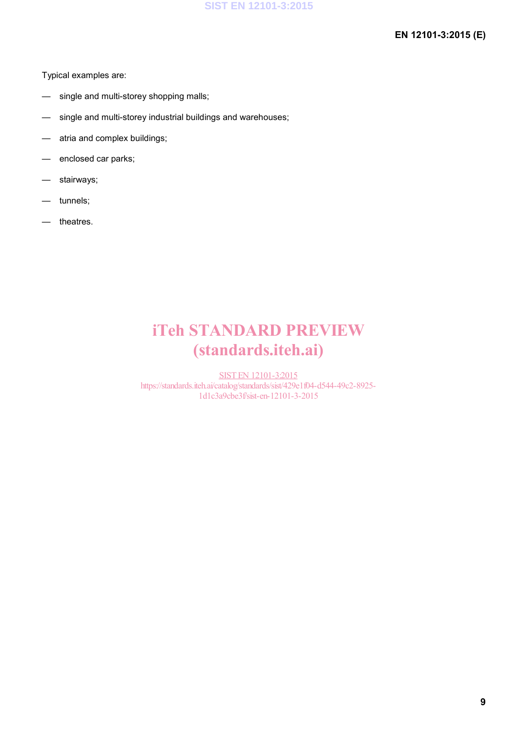### **EN 12101-3:2015 (E)**

Typical examples are:

- single and multi-storey shopping malls;
- single and multi-storey industrial buildings and warehouses;
- atria and complex buildings;
- enclosed car parks;
- stairways;
- tunnels;
- theatres.

# iTeh STANDARD PREVIEW (standards.iteh.ai)

SIST EN 12101-3:2015 https://standards.iteh.ai/catalog/standards/sist/429e1f04-d544-49c2-8925- 1d1c3a9cbe3f/sist-en-12101-3-2015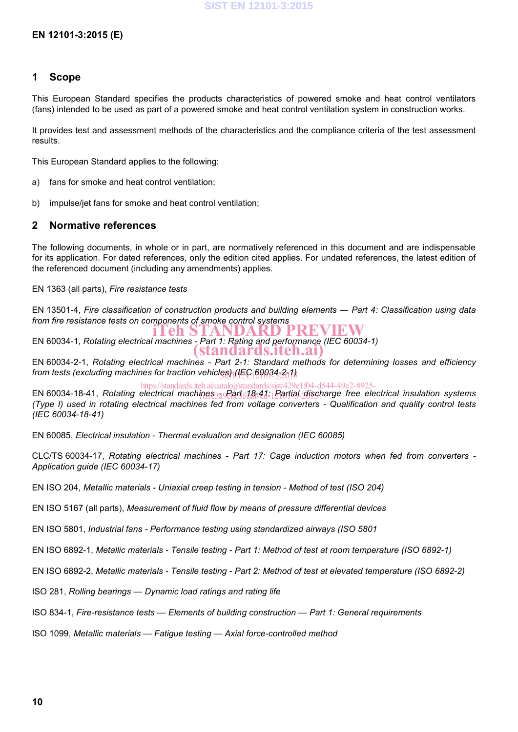#### **1 Scope**

This European Standard specifies the products characteristics of powered smoke and heat control ventilators (fans) intended to be used as part of a powered smoke and heat control ventilation system in construction works.

It provides test and assessment methods of the characteristics and the compliance criteria of the test assessment results.

This European Standard applies to the following:

- a) fans for smoke and heat control ventilation;
- b) impulse/jet fans for smoke and heat control ventilation;

#### **2 Normative references**

The following documents, in whole or in part, are normatively referenced in this document and are indispensable for its application. For dated references, only the edition cited applies. For undated references, the latest edition of the referenced document (including any amendments) applies.

EN 1363 (all parts), *Fire resistance tests*

EN 13501-4, *Fire classification of construction products and building elements ― Part 4: Classification using data from fire resistance tests on components of smoke control systems*

EN 60034-1, *Rotating electrical machines - Part 1: Rating and performance (IEC 60034-1)* iTeh STANDARD PREVIEW (standards.iteh.ai)

EN 60034-2-1, *Rotating electrical machines - Part 2-1: Standard methods for determining losses and efficiency from tests (excluding machines for traction vehicles) (IEC 60034-2-1)* SIST EN 12101-3:2015

EN 60034-18-41, *Rotating electrical machines <sub>379</sub> eart 18-41: Partial discharge free electrical insulation systems (Type I) used in rotating electrical machines fed from voltage converters - Qualification and quality control tests (IEC 60034-18-41)* https://standards.iteh.ai/catalog/standards/sist/429e1f04-d544-49c2-8925-

EN 60085, *Electrical insulation - Thermal evaluation and designation (IEC 60085)*

CLC/TS 60034-17, *Rotating electrical machines - Part 17: Cage induction motors when fed from converters - Application guide (IEC 60034-17)*

EN ISO 204, *Metallic materials - Uniaxial creep testing in tension - Method of test (ISO 204)*

EN ISO 5167 (all parts), *Measurement of fluid flow by means of pressure differential devices*

EN ISO 5801, *Industrial fans - Performance testing using standardized airways (ISO 5801*

EN ISO 6892-1, *Metallic materials - Tensile testing - Part 1: Method of test at room temperature (ISO 6892-1)*

EN ISO 6892-2, *Metallic materials - Tensile testing - Part 2: Method of test at elevated temperature (ISO 6892-2)*

ISO 281, *Rolling bearings — Dynamic load ratings and rating life*

ISO 834-1, *Fire-resistance tests — Elements of building construction — Part 1: General requirements*

ISO 1099, *Metallic materials — Fatigue testing — Axial force-controlled method*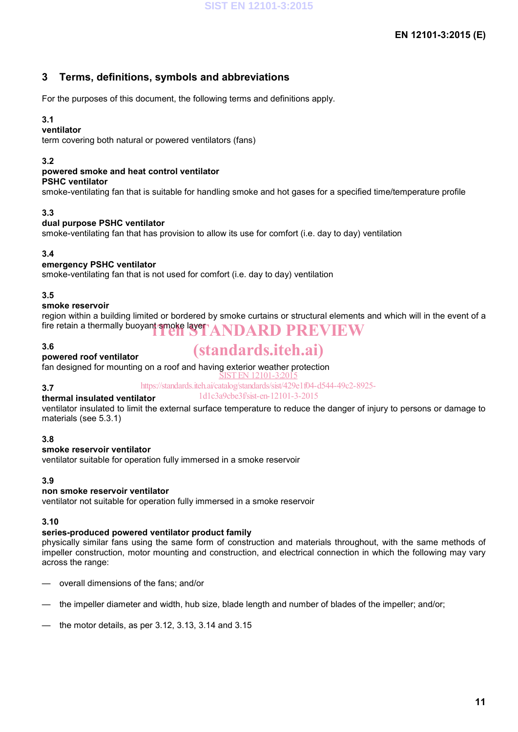## **3 Terms, definitions, symbols and abbreviations**

For the purposes of this document, the following terms and definitions apply.

### **3.1**

#### **ventilator**

term covering both natural or powered ventilators (fans)

#### **3.2**

#### **powered smoke and heat control ventilator**

#### **PSHC ventilator**

smoke-ventilating fan that is suitable for handling smoke and hot gases for a specified time/temperature profile

#### **3.3**

#### **dual purpose PSHC ventilator**

smoke-ventilating fan that has provision to allow its use for comfort (i.e. day to day) ventilation

#### **3.4**

#### **emergency PSHC ventilator**

smoke-ventilating fan that is not used for comfort (i.e. day to day) ventilation

#### **3.5**

#### **smoke reservoir**

region within a building limited or bordered by smoke curtains or structural elements and which will in the event of a fire retain a thermally buoyant smoke layer ANDARD PREVIEW

#### **3.6**

# (standards.iteh.ai)

**powered roof ventilator** fan designed for mounting on a roof and having exterior weather protection

#### **3.7**

#### https://standards.iteh.ai/catalog/standards/sist/429e1f04-d544-49c2-8925- 1d1c3a9cbe3f/sist-en-12101-3-2015

#### **thermal insulated ventilator**

ventilator insulated to limit the external surface temperature to reduce the danger of injury to persons or damage to materials (see 5.3.1)

 $\pm 2101 - 3:20$ 

#### **3.8**

#### **smoke reservoir ventilator**

ventilator suitable for operation fully immersed in a smoke reservoir

#### **3.9**

#### **non smoke reservoir ventilator**

ventilator not suitable for operation fully immersed in a smoke reservoir

#### **3.10**

### **series-produced powered ventilator product family**

physically similar fans using the same form of construction and materials throughout, with the same methods of impeller construction, motor mounting and construction, and electrical connection in which the following may vary across the range:

- overall dimensions of the fans; and/or
- the impeller diameter and width, hub size, blade length and number of blades of the impeller; and/or;
- the motor details, as per 3.12, 3.13, 3.14 and 3.15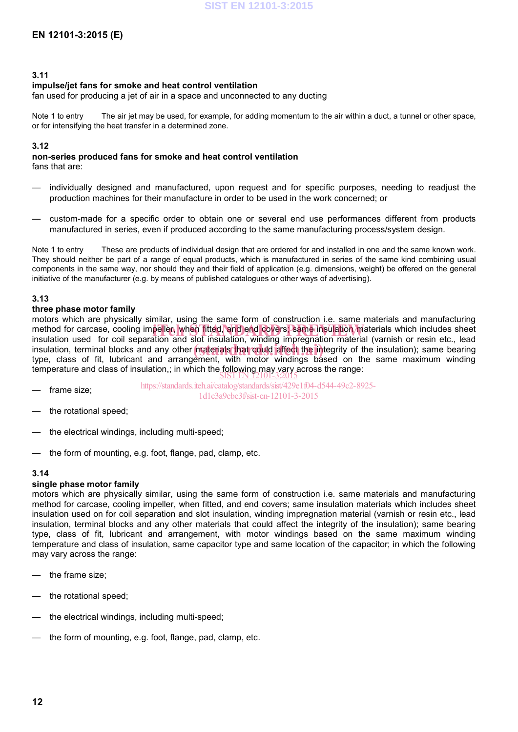#### **3.11**

#### **impulse/jet fans for smoke and heat control ventilation**

fan used for producing a jet of air in a space and unconnected to any ducting

Note 1 to entry The air jet may be used, for example, for adding momentum to the air within a duct, a tunnel or other space, or for intensifying the heat transfer in a determined zone.

#### **3.12**

#### **non-series produced fans for smoke and heat control ventilation**

fans that are:

- individually designed and manufactured, upon request and for specific purposes, needing to readjust the production machines for their manufacture in order to be used in the work concerned; or
- custom-made for a specific order to obtain one or several end use performances different from products manufactured in series, even if produced according to the same manufacturing process/system design.

Note 1 to entry These are products of individual design that are ordered for and installed in one and the same known work. They should neither be part of a range of equal products, which is manufactured in series of the same kind combining usual components in the same way, nor should they and their field of application (e.g. dimensions, weight) be offered on the general initiative of the manufacturer (e.g. by means of published catalogues or other ways of advertising).

#### **3.13**

#### **three phase motor family**

motors which are physically similar, using the same form of construction i.e. same materials and manufacturing method for carcase, cooling impeller, when fitted, and end covers; same insulation materials which includes sheet insulation used for coil separation and slot insulation winding impregnation material (varnish or resin etc. insulation used for coil separation and slot insulation, winding impregnation material (varnish or resin etc., lead insulation, terminal blocks and any other materials that could affect the integrity of the insulation); same bearing the class of fit. Unknown and arrangement, with motor windings, based on the same maximum winding type, class of fit, lubricant and arrangement, with motor windings based on the same maximum winding temperature and class of insulation,; in which the following may vary across the range: SIST EN 12101-3:2015

- frame size: https://standards.iteh.ai/catalog/standards/sist/429e1f04-d544-49c2-8925- 1d1c3a9cbe3f/sist-en-12101-3-2015
- the rotational speed;
- the electrical windings, including multi-speed;
- the form of mounting, e.g. foot, flange, pad, clamp, etc.

#### **3.14**

#### **single phase motor family**

motors which are physically similar, using the same form of construction i.e. same materials and manufacturing method for carcase, cooling impeller, when fitted, and end covers; same insulation materials which includes sheet insulation used on for coil separation and slot insulation, winding impregnation material (varnish or resin etc., lead insulation, terminal blocks and any other materials that could affect the integrity of the insulation); same bearing type, class of fit, lubricant and arrangement, with motor windings based on the same maximum winding temperature and class of insulation, same capacitor type and same location of the capacitor; in which the following may vary across the range:

- the frame size;
- the rotational speed;
- the electrical windings, including multi-speed;
- the form of mounting, e.g. foot, flange, pad, clamp, etc.